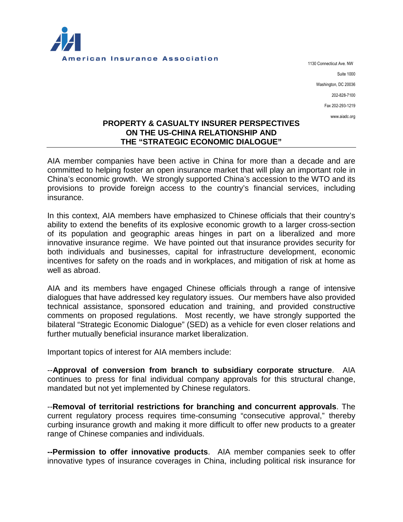

1130 Connecticut Ave. NW Suite 1000 Washington, DC 20036 202-828-7100 Fax 202-293-1219 www.aiadc.org

## **PROPERTY & CASUALTY INSURER PERSPECTIVES ON THE US-CHINA RELATIONSHIP AND THE "STRATEGIC ECONOMIC DIALOGUE"**

AIA member companies have been active in China for more than a decade and are committed to helping foster an open insurance market that will play an important role in China's economic growth. We strongly supported China's accession to the WTO and its provisions to provide foreign access to the country's financial services, including insurance.

In this context, AIA members have emphasized to Chinese officials that their country's ability to extend the benefits of its explosive economic growth to a larger cross-section of its population and geographic areas hinges in part on a liberalized and more innovative insurance regime. We have pointed out that insurance provides security for both individuals and businesses, capital for infrastructure development, economic incentives for safety on the roads and in workplaces, and mitigation of risk at home as well as abroad.

AIA and its members have engaged Chinese officials through a range of intensive dialogues that have addressed key regulatory issues. Our members have also provided technical assistance, sponsored education and training, and provided constructive comments on proposed regulations. Most recently, we have strongly supported the bilateral "Strategic Economic Dialogue" (SED) as a vehicle for even closer relations and further mutually beneficial insurance market liberalization.

Important topics of interest for AIA members include:

--**Approval of conversion from branch to subsidiary corporate structure**. AIA continues to press for final individual company approvals for this structural change, mandated but not yet implemented by Chinese regulators.

--**Removal of territorial restrictions for branching and concurrent approvals**. The current regulatory process requires time-consuming "consecutive approval," thereby curbing insurance growth and making it more difficult to offer new products to a greater range of Chinese companies and individuals.

**--Permission to offer innovative products**. AIA member companies seek to offer innovative types of insurance coverages in China, including political risk insurance for